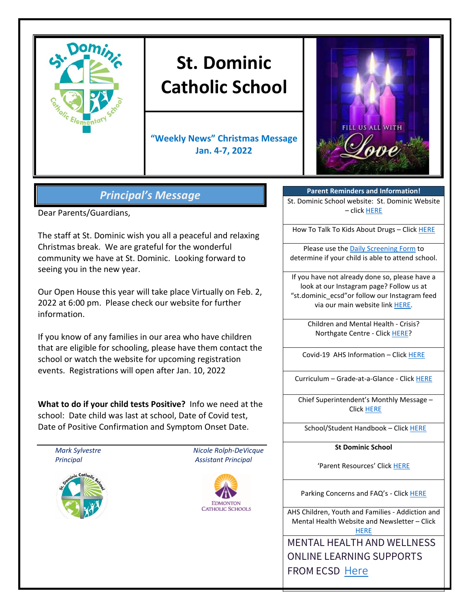

# **St. Dominic Catholic School**

**"Weekly News" Christmas Message Jan. 4-7, 2022**



## *Principal's Message*

Dear Parents/Guardians,

The staff at St. Dominic wish you all a peaceful and relaxing Christmas break. We are grateful for the wonderful community we have at St. Dominic. Looking forward to seeing you in the new year.

Our Open House this year will take place Virtually on Feb. 2, 2022 at 6:00 pm. Please check our website for further information.

If you know of any families in our area who have children that are eligible for schooling, please have them contact the school or watch the website for upcoming registration events. Registrations will open after Jan. 10, 2022

**What to do if your child tests Positive?** Info we need at the school: Date child was last at school, Date of Covid test, Date of Positive Confirmation and Symptom Onset Date.



**Parent Reminders and Information!**

St. Dominic School website: St. Dominic Website – click [HERE](https://www.ecsd.net/8020)

How To Talk To Kids About Drugs – Clic[k HERE](https://www.albertahealthservices.ca/Blogs/PFH/Posting305.aspx#.W6BEH-SouUm)

Please use the [Daily Screening Form](https://www.ecsd.net/_ci/p/34430) to determine if your child is able to attend school.

If you have not already done so, please have a look at our Instagram page? Follow us at "st.dominic\_ecsd"or follow our Instagram feed via our main website lin[k HERE.](https://www.instagram.com/st.dominic_ecsd/)

> Children and Mental Health - Crisis? Northgate Centre - Click [HERE?](https://www.albertahealthservices.ca/findhealth/Service.aspx?serviceAtFacilityId=1049807)

Covid-19 AHS Information – Clic[k HERE](https://www.albertahealthservices.ca/topics/Page16944.aspx)

Curriculum – Grade-at-a-Glance - Click [HERE](https://www.learnalberta.ca/content/mychildslearning/)

Chief Superintendent's Monthly Message – Click [HERE](https://www.ecsd.net/page/9041/chief-superintendent-s-message)

School/Student Handbook – Click [HERE](https://sbecsdstor.blob.core.windows.net/docs/a1e3310d-da1d-40ab-8398-941ae85938cc_St.%20Dominic%20School%20School%20Handbook%20-%20For%20Website%20-%20Updated%20May%202018.pdf)

**St Dominic School**

'Parent Resources' Clic[k HERE](https://www.ecsd.net/8020/page/5632/parent-resources)

Parking Concerns and FAQ's - Click [HERE](https://sbecsdstor.blob.core.windows.net/docs/d3525cec-cc07-4c3b-ba30-df3f7070a682_School%20Parking%20Information%20Sheet.pdf)

AHS Children, Youth and Families - Addiction and Mental Health Website and Newsletter – Click **[HERE](https://www.cyfcaregivereducation.ca/)** 

MENTAL HEALTH AND WELLNESS ONLINE LEARNING SUPPORTS FROM ECSD [Here](https://www.ecsd.net/page/7832/mental-health-and-wellness-online-learning-supports)